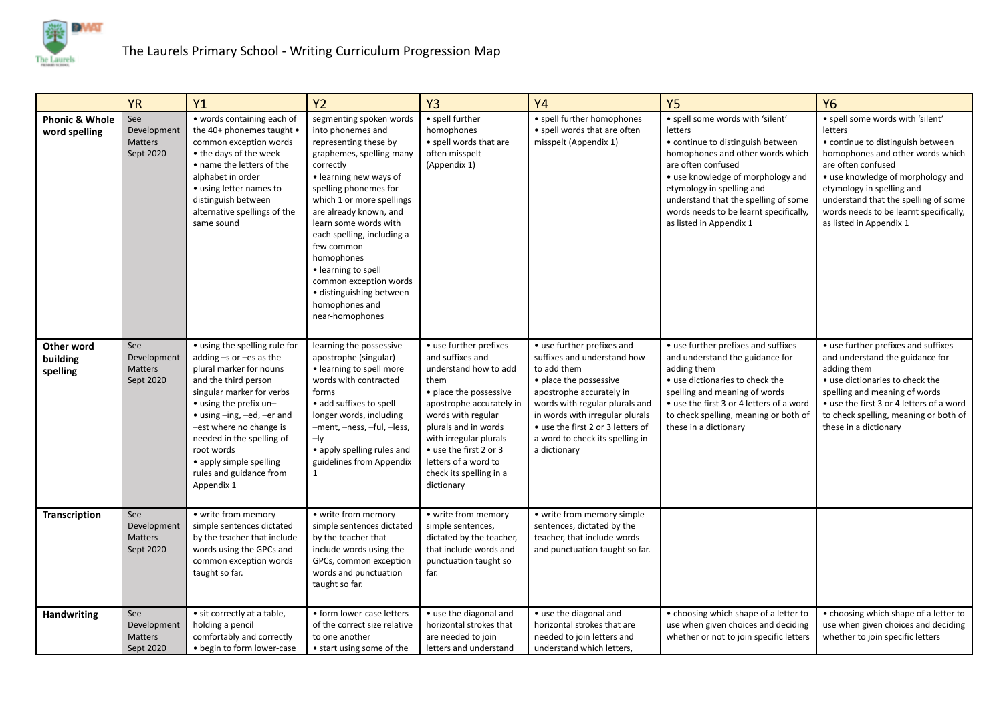

|                                            | <b>YR</b>                                         | Y1                                                                                                                                                                                                                                                                                                                                             | Y <sub>2</sub>                                                                                                                                                                                                                                                                                                                                                                                                                | Y3                                                                                                                                                                                                                                                                                                   | <b>Y4</b>                                                                                                                                                                                                                                                                                   | <b>Y5</b>                                                                                                                                                                                                                                                                                                                 | <b>Y6</b>                                                                                                                                                                                                                                                                                                                 |
|--------------------------------------------|---------------------------------------------------|------------------------------------------------------------------------------------------------------------------------------------------------------------------------------------------------------------------------------------------------------------------------------------------------------------------------------------------------|-------------------------------------------------------------------------------------------------------------------------------------------------------------------------------------------------------------------------------------------------------------------------------------------------------------------------------------------------------------------------------------------------------------------------------|------------------------------------------------------------------------------------------------------------------------------------------------------------------------------------------------------------------------------------------------------------------------------------------------------|---------------------------------------------------------------------------------------------------------------------------------------------------------------------------------------------------------------------------------------------------------------------------------------------|---------------------------------------------------------------------------------------------------------------------------------------------------------------------------------------------------------------------------------------------------------------------------------------------------------------------------|---------------------------------------------------------------------------------------------------------------------------------------------------------------------------------------------------------------------------------------------------------------------------------------------------------------------------|
| <b>Phonic &amp; Whole</b><br>word spelling | See<br>Development<br><b>Matters</b><br>Sept 2020 | • words containing each of<br>the 40+ phonemes taught •<br>common exception words<br>• the days of the week<br>• name the letters of the<br>alphabet in order<br>• using letter names to<br>distinguish between<br>alternative spellings of the<br>same sound                                                                                  | segmenting spoken words<br>into phonemes and<br>representing these by<br>graphemes, spelling many<br>correctly<br>• learning new ways of<br>spelling phonemes for<br>which 1 or more spellings<br>are already known, and<br>learn some words with<br>each spelling, including a<br>few common<br>homophones<br>• learning to spell<br>common exception words<br>• distinguishing between<br>homophones and<br>near-homophones | • spell further<br>homophones<br>• spell words that are<br>often misspelt<br>(Appendix 1)                                                                                                                                                                                                            | • spell further homophones<br>• spell words that are often<br>misspelt (Appendix 1)                                                                                                                                                                                                         | · spell some words with 'silent'<br>letters<br>• continue to distinguish between<br>homophones and other words which<br>are often confused<br>• use knowledge of morphology and<br>etymology in spelling and<br>understand that the spelling of some<br>words needs to be learnt specifically,<br>as listed in Appendix 1 | • spell some words with 'silent'<br>letters<br>• continue to distinguish between<br>homophones and other words which<br>are often confused<br>• use knowledge of morphology and<br>etymology in spelling and<br>understand that the spelling of some<br>words needs to be learnt specifically,<br>as listed in Appendix 1 |
| Other word<br>building<br>spelling         | See<br>Development<br><b>Matters</b><br>Sept 2020 | • using the spelling rule for<br>adding $-s$ or $-es$ as the<br>plural marker for nouns<br>and the third person<br>singular marker for verbs<br>• using the prefix un-<br>• using -ing, -ed, -er and<br>-est where no change is<br>needed in the spelling of<br>root words<br>• apply simple spelling<br>rules and guidance from<br>Appendix 1 | learning the possessive<br>apostrophe (singular)<br>• learning to spell more<br>words with contracted<br>forms<br>• add suffixes to spell<br>longer words, including<br>-ment, -ness, -ful, -less,<br>$-$ ly<br>• apply spelling rules and<br>guidelines from Appendix                                                                                                                                                        | • use further prefixes<br>and suffixes and<br>understand how to add<br>them<br>• place the possessive<br>apostrophe accurately in<br>words with regular<br>plurals and in words<br>with irregular plurals<br>• use the first 2 or 3<br>letters of a word to<br>check its spelling in a<br>dictionary | • use further prefixes and<br>suffixes and understand how<br>to add them<br>• place the possessive<br>apostrophe accurately in<br>words with regular plurals and<br>in words with irregular plurals<br>• use the first 2 or 3 letters of<br>a word to check its spelling in<br>a dictionary | • use further prefixes and suffixes<br>and understand the guidance for<br>adding them<br>• use dictionaries to check the<br>spelling and meaning of words<br>• use the first 3 or 4 letters of a word<br>to check spelling, meaning or both of<br>these in a dictionary                                                   | • use further prefixes and suffixes<br>and understand the guidance for<br>adding them<br>• use dictionaries to check the<br>spelling and meaning of words<br>• use the first 3 or 4 letters of a word<br>to check spelling, meaning or both of<br>these in a dictionary                                                   |
| Transcription                              | See<br>Development<br><b>Matters</b><br>Sept 2020 | • write from memory<br>simple sentences dictated<br>by the teacher that include<br>words using the GPCs and<br>common exception words<br>taught so far.                                                                                                                                                                                        | • write from memory<br>simple sentences dictated<br>by the teacher that<br>include words using the<br>GPCs, common exception<br>words and punctuation<br>taught so far.                                                                                                                                                                                                                                                       | • write from memory<br>simple sentences,<br>dictated by the teacher,<br>that include words and<br>punctuation taught so<br>far.                                                                                                                                                                      | • write from memory simple<br>sentences, dictated by the<br>teacher, that include words<br>and punctuation taught so far.                                                                                                                                                                   |                                                                                                                                                                                                                                                                                                                           |                                                                                                                                                                                                                                                                                                                           |
| Handwriting                                | See<br>Development<br>Matters<br>Sept 2020        | · sit correctly at a table,<br>holding a pencil<br>comfortably and correctly<br>• begin to form lower-case                                                                                                                                                                                                                                     | · form lower-case letters<br>of the correct size relative<br>to one another<br>• start using some of the                                                                                                                                                                                                                                                                                                                      | • use the diagonal and<br>horizontal strokes that<br>are needed to join<br>letters and understand                                                                                                                                                                                                    | • use the diagonal and<br>horizontal strokes that are<br>needed to join letters and<br>understand which letters,                                                                                                                                                                            | • choosing which shape of a letter to<br>use when given choices and deciding<br>whether or not to join specific letters                                                                                                                                                                                                   | • choosing which shape of a letter to<br>use when given choices and deciding<br>whether to join specific letters                                                                                                                                                                                                          |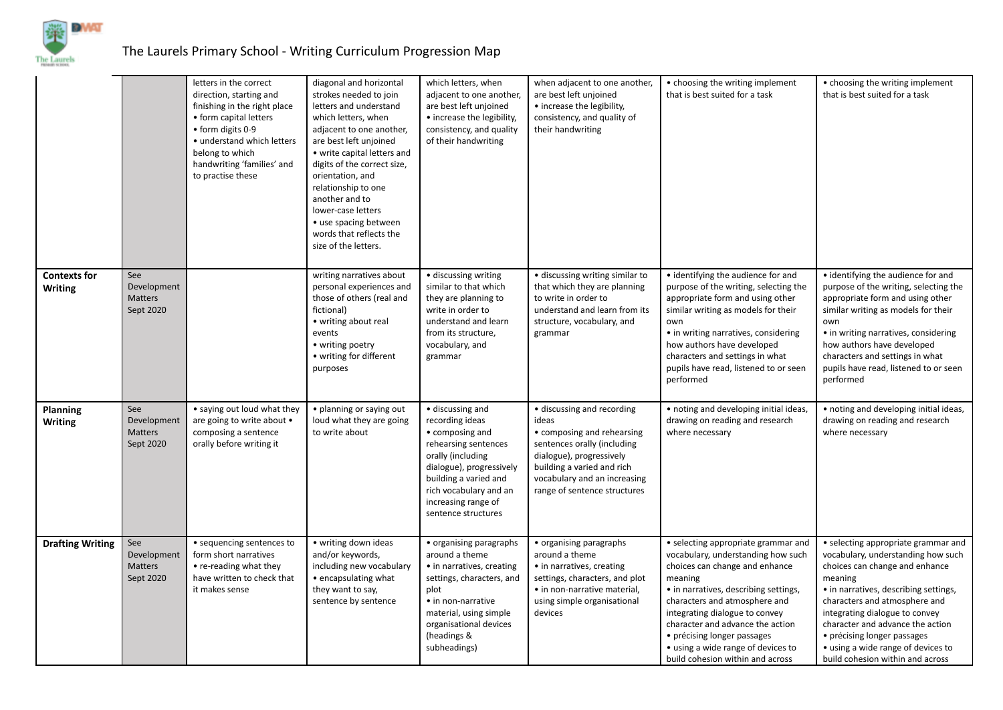

## The Laurels Primary School - Writing Curriculum Progression Map

|                                   |                                                   | letters in the correct<br>direction, starting and<br>finishing in the right place<br>• form capital letters<br>• form digits 0-9<br>· understand which letters<br>belong to which<br>handwriting 'families' and<br>to practise these | diagonal and horizontal<br>strokes needed to join<br>letters and understand<br>which letters, when<br>adjacent to one another,<br>are best left unjoined<br>• write capital letters and<br>digits of the correct size,<br>orientation, and<br>relationship to one<br>another and to<br>lower-case letters<br>• use spacing between<br>words that reflects the<br>size of the letters. | which letters, when<br>adjacent to one another,<br>are best left unjoined<br>• increase the legibility,<br>consistency, and quality<br>of their handwriting                                                                      | when adjacent to one another,<br>are best left unjoined<br>• increase the legibility,<br>consistency, and quality of<br>their handwriting                                                                                  | • choosing the writing implement<br>that is best suited for a task                                                                                                                                                                                                                                                                                                              | • choosing the writing implement<br>that is best suited for a task                                                                                                                                                                                                                                                                                                              |
|-----------------------------------|---------------------------------------------------|--------------------------------------------------------------------------------------------------------------------------------------------------------------------------------------------------------------------------------------|---------------------------------------------------------------------------------------------------------------------------------------------------------------------------------------------------------------------------------------------------------------------------------------------------------------------------------------------------------------------------------------|----------------------------------------------------------------------------------------------------------------------------------------------------------------------------------------------------------------------------------|----------------------------------------------------------------------------------------------------------------------------------------------------------------------------------------------------------------------------|---------------------------------------------------------------------------------------------------------------------------------------------------------------------------------------------------------------------------------------------------------------------------------------------------------------------------------------------------------------------------------|---------------------------------------------------------------------------------------------------------------------------------------------------------------------------------------------------------------------------------------------------------------------------------------------------------------------------------------------------------------------------------|
| <b>Contexts for</b><br>Writing    | See<br>Development<br><b>Matters</b><br>Sept 2020 |                                                                                                                                                                                                                                      | writing narratives about<br>personal experiences and<br>those of others (real and<br>fictional)<br>• writing about real<br>events<br>• writing poetry<br>• writing for different<br>purposes                                                                                                                                                                                          | • discussing writing<br>similar to that which<br>they are planning to<br>write in order to<br>understand and learn<br>from its structure,<br>vocabulary, and<br>grammar                                                          | • discussing writing similar to<br>that which they are planning<br>to write in order to<br>understand and learn from its<br>structure, vocabulary, and<br>grammar                                                          | • identifying the audience for and<br>purpose of the writing, selecting the<br>appropriate form and using other<br>similar writing as models for their<br>own<br>• in writing narratives, considering<br>how authors have developed<br>characters and settings in what<br>pupils have read, listened to or seen<br>performed                                                    | • identifying the audience for and<br>purpose of the writing, selecting the<br>appropriate form and using other<br>similar writing as models for their<br>own<br>• in writing narratives, considering<br>how authors have developed<br>characters and settings in what<br>pupils have read, listened to or seen<br>performed                                                    |
| <b>Planning</b><br><b>Writing</b> | See<br>Development<br><b>Matters</b><br>Sept 2020 | • saying out loud what they<br>are going to write about •<br>composing a sentence<br>orally before writing it                                                                                                                        | • planning or saying out<br>loud what they are going<br>to write about                                                                                                                                                                                                                                                                                                                | • discussing and<br>recording ideas<br>• composing and<br>rehearsing sentences<br>orally (including<br>dialogue), progressively<br>building a varied and<br>rich vocabulary and an<br>increasing range of<br>sentence structures | • discussing and recording<br>ideas<br>• composing and rehearsing<br>sentences orally (including<br>dialogue), progressively<br>building a varied and rich<br>vocabulary and an increasing<br>range of sentence structures | · noting and developing initial ideas,<br>drawing on reading and research<br>where necessary                                                                                                                                                                                                                                                                                    | • noting and developing initial ideas,<br>drawing on reading and research<br>where necessary                                                                                                                                                                                                                                                                                    |
| <b>Drafting Writing</b>           | See<br>Development<br><b>Matters</b><br>Sept 2020 | • sequencing sentences to<br>form short narratives<br>• re-reading what they<br>have written to check that<br>it makes sense                                                                                                         | • writing down ideas<br>and/or keywords,<br>including new vocabulary<br>• encapsulating what<br>they want to say,<br>sentence by sentence                                                                                                                                                                                                                                             | • organising paragraphs<br>around a theme<br>• in narratives, creating<br>settings, characters, and<br>plot<br>• in non-narrative<br>material, using simple<br>organisational devices<br>(headings &<br>subheadings)             | • organising paragraphs<br>around a theme<br>• in narratives, creating<br>settings, characters, and plot<br>• in non-narrative material,<br>using simple organisational<br>devices                                         | • selecting appropriate grammar and<br>vocabulary, understanding how such<br>choices can change and enhance<br>meaning<br>• in narratives, describing settings,<br>characters and atmosphere and<br>integrating dialogue to convey<br>character and advance the action<br>• précising longer passages<br>• using a wide range of devices to<br>build cohesion within and across | • selecting appropriate grammar and<br>vocabulary, understanding how such<br>choices can change and enhance<br>meaning<br>• in narratives, describing settings,<br>characters and atmosphere and<br>integrating dialogue to convey<br>character and advance the action<br>• précising longer passages<br>• using a wide range of devices to<br>build cohesion within and across |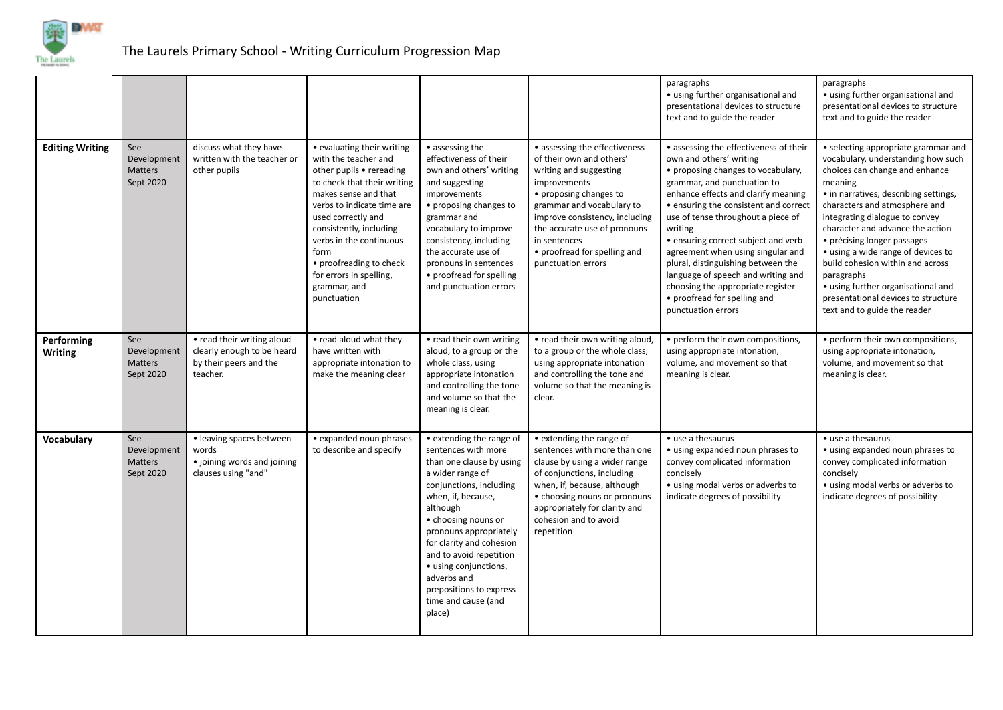

## The Laurels Primary School - Writing Curriculum Progression Map

|                              |                                                   |                                                                                                |                                                                                                                                                                                                                                                                                                                                              |                                                                                                                                                                                                                                                                                                                                                                          |                                                                                                                                                                                                                                                                                                    | paragraphs<br>• using further organisational and<br>presentational devices to structure<br>text and to guide the reader                                                                                                                                                                                                                                                                                                                                                                                                    | paragraphs<br>• using further organisational and<br>presentational devices to structure<br>text and to guide the reader                                                                                                                                                                                                                                                                                                                                                                                    |
|------------------------------|---------------------------------------------------|------------------------------------------------------------------------------------------------|----------------------------------------------------------------------------------------------------------------------------------------------------------------------------------------------------------------------------------------------------------------------------------------------------------------------------------------------|--------------------------------------------------------------------------------------------------------------------------------------------------------------------------------------------------------------------------------------------------------------------------------------------------------------------------------------------------------------------------|----------------------------------------------------------------------------------------------------------------------------------------------------------------------------------------------------------------------------------------------------------------------------------------------------|----------------------------------------------------------------------------------------------------------------------------------------------------------------------------------------------------------------------------------------------------------------------------------------------------------------------------------------------------------------------------------------------------------------------------------------------------------------------------------------------------------------------------|------------------------------------------------------------------------------------------------------------------------------------------------------------------------------------------------------------------------------------------------------------------------------------------------------------------------------------------------------------------------------------------------------------------------------------------------------------------------------------------------------------|
| <b>Editing Writing</b>       | See<br>Development<br>Matters<br>Sept 2020        | discuss what they have<br>written with the teacher or<br>other pupils                          | • evaluating their writing<br>with the teacher and<br>other pupils • rereading<br>to check that their writing<br>makes sense and that<br>verbs to indicate time are<br>used correctly and<br>consistently, including<br>verbs in the continuous<br>form<br>• proofreading to check<br>for errors in spelling,<br>grammar, and<br>punctuation | • assessing the<br>effectiveness of their<br>own and others' writing<br>and suggesting<br>improvements<br>• proposing changes to<br>grammar and<br>vocabulary to improve<br>consistency, including<br>the accurate use of<br>pronouns in sentences<br>• proofread for spelling<br>and punctuation errors                                                                 | • assessing the effectiveness<br>of their own and others'<br>writing and suggesting<br>improvements<br>• proposing changes to<br>grammar and vocabulary to<br>improve consistency, including<br>the accurate use of pronouns<br>in sentences<br>• proofread for spelling and<br>punctuation errors | • assessing the effectiveness of their<br>own and others' writing<br>• proposing changes to vocabulary,<br>grammar, and punctuation to<br>enhance effects and clarify meaning<br>• ensuring the consistent and correct<br>use of tense throughout a piece of<br>writing<br>• ensuring correct subject and verb<br>agreement when using singular and<br>plural, distinguishing between the<br>language of speech and writing and<br>choosing the appropriate register<br>• proofread for spelling and<br>punctuation errors | • selecting appropriate grammar and<br>vocabulary, understanding how such<br>choices can change and enhance<br>meaning<br>• in narratives, describing settings,<br>characters and atmosphere and<br>integrating dialogue to convey<br>character and advance the action<br>• précising longer passages<br>• using a wide range of devices to<br>build cohesion within and across<br>paragraphs<br>• using further organisational and<br>presentational devices to structure<br>text and to guide the reader |
| Performing<br><b>Writing</b> | See<br>Development<br><b>Matters</b><br>Sept 2020 | • read their writing aloud<br>clearly enough to be heard<br>by their peers and the<br>teacher. | • read aloud what they<br>have written with<br>appropriate intonation to<br>make the meaning clear                                                                                                                                                                                                                                           | • read their own writing<br>aloud, to a group or the<br>whole class, using<br>appropriate intonation<br>and controlling the tone<br>and volume so that the<br>meaning is clear.                                                                                                                                                                                          | • read their own writing aloud,<br>to a group or the whole class,<br>using appropriate intonation<br>and controlling the tone and<br>volume so that the meaning is<br>clear.                                                                                                                       | • perform their own compositions,<br>using appropriate intonation,<br>volume, and movement so that<br>meaning is clear.                                                                                                                                                                                                                                                                                                                                                                                                    | • perform their own compositions,<br>using appropriate intonation,<br>volume, and movement so that<br>meaning is clear.                                                                                                                                                                                                                                                                                                                                                                                    |
| Vocabulary                   | See<br>Development<br>Matters<br>Sept 2020        | • leaving spaces between<br>words<br>• joining words and joining<br>clauses using "and"        | • expanded noun phrases<br>to describe and specify                                                                                                                                                                                                                                                                                           | • extending the range of<br>sentences with more<br>than one clause by using<br>a wider range of<br>conjunctions, including<br>when, if, because,<br>although<br>• choosing nouns or<br>pronouns appropriately<br>for clarity and cohesion<br>and to avoid repetition<br>• using conjunctions,<br>adverbs and<br>prepositions to express<br>time and cause (and<br>place) | • extending the range of<br>sentences with more than one<br>clause by using a wider range<br>of conjunctions, including<br>when, if, because, although<br>• choosing nouns or pronouns<br>appropriately for clarity and<br>cohesion and to avoid<br>repetition                                     | • use a thesaurus<br>• using expanded noun phrases to<br>convey complicated information<br>concisely<br>• using modal verbs or adverbs to<br>indicate degrees of possibility                                                                                                                                                                                                                                                                                                                                               | • use a thesaurus<br>• using expanded noun phrases to<br>convey complicated information<br>concisely<br>• using modal verbs or adverbs to<br>indicate degrees of possibility                                                                                                                                                                                                                                                                                                                               |